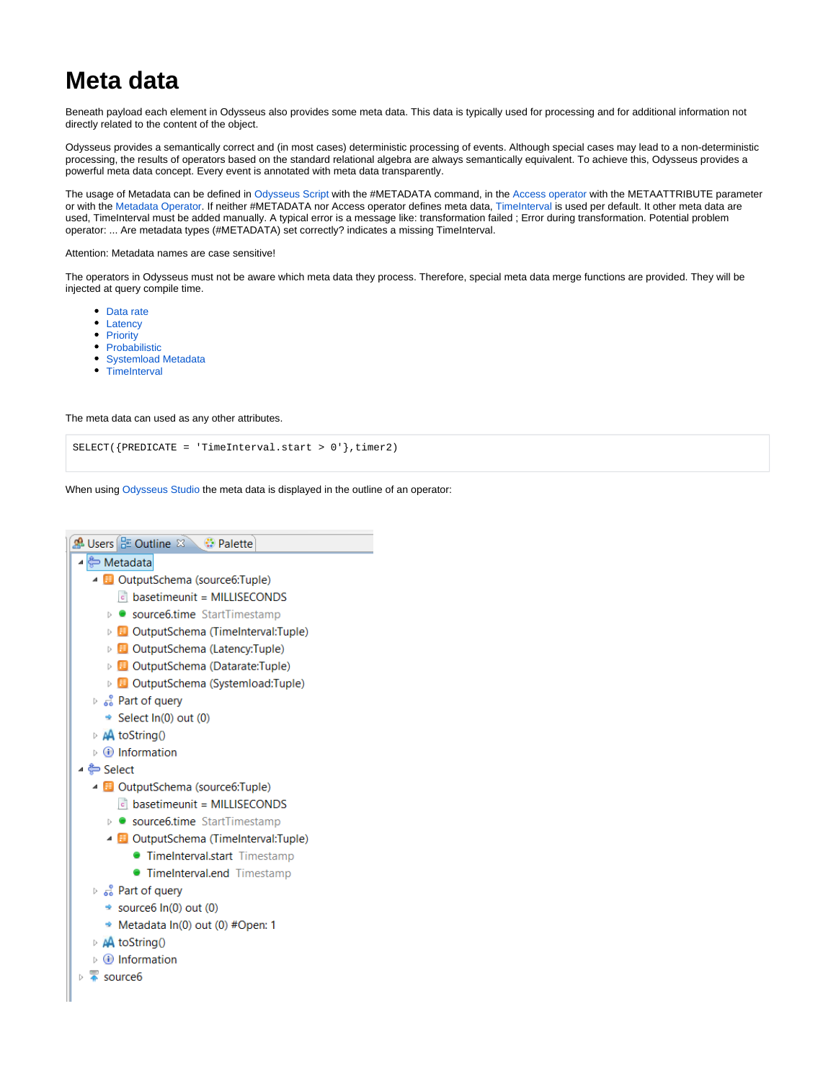## **Meta data**

Beneath payload each element in Odysseus also provides some meta data. This data is typically used for processing and for additional information not directly related to the content of the object.

Odysseus provides a semantically correct and (in most cases) deterministic processing of events. Although special cases may lead to a non-deterministic processing, the results of operators based on the standard relational algebra are always semantically equivalent. To achieve this, Odysseus provides a powerful meta data concept. Every event is annotated with meta data transparently.

The usage of Metadata can be defined in [Odysseus Script](https://wiki.odysseus.informatik.uni-oldenburg.de/display/ODYSSEUS/Odysseus+Script) with the #METADATA command, in the [Access operator](https://wiki.odysseus.informatik.uni-oldenburg.de/display/ODYSSEUS/Access+operator) with the METAATTRIBUTE parameter or with the [Metadata Operator.](https://wiki.odysseus.informatik.uni-oldenburg.de/display/ODYSSEUS/Metadata+Operator) If neither #METADATA nor Access operator defines meta data, [TimeInterval](https://wiki.odysseus.informatik.uni-oldenburg.de/display/ODYSSEUS/TimeInterval) is used per default. It other meta data are used, TimeInterval must be added manually. A typical error is a message like: transformation failed ; Error during transformation. Potential problem operator: ... Are metadata types (#METADATA) set correctly? indicates a missing TimeInterval.

## Attention: Metadata names are case sensitive!

The operators in Odysseus must not be aware which meta data they process. Therefore, special meta data merge functions are provided. They will be injected at query compile time.

- [Data rate](https://wiki.odysseus.informatik.uni-oldenburg.de/display/ODYSSEUS/Data+rate)
- [Latency](https://wiki.odysseus.informatik.uni-oldenburg.de/display/ODYSSEUS/Latency)
- [Priority](https://wiki.odysseus.informatik.uni-oldenburg.de/display/ODYSSEUS/Priority)
- [Probabilistic](https://wiki.odysseus.informatik.uni-oldenburg.de/display/ODYSSEUS/Probabilistic)
- [Systemload Metadata](https://wiki.odysseus.informatik.uni-oldenburg.de/display/ODYSSEUS/Systemload+Metadata)
- [TimeInterval](https://wiki.odysseus.informatik.uni-oldenburg.de/display/ODYSSEUS/TimeInterval)

The meta data can used as any other attributes.

```
SELECT({PREDICATE = 'TimeInterval.start > 0'},timer2)
```
When using [Odysseus Studio](https://wiki.odysseus.informatik.uni-oldenburg.de/display/ODYSSEUS/Odysseus+Studio) the meta data is displayed in the outline of an operator:

```
& Users BE Outline &
                            C Palette
▲ Hetadata
    4 El OutputSchema (source6:Tuple)
         \epsilon basetimeunit = MILLISECONDS
       ▷ ● source6.time StartTimestamp
       ▷ El OutputSchema (TimeInterval:Tuple)
       ▷ E OutputSchema (Latency:Tuple)
       ▷ E OutputSchema (Datarate:Tuple)
       ▷ El OutputSchema (Systemload:Tuple)
    \triangleright \frac{1}{60} Part of query
       Select In(0) out (0)
    \triangleright AA toString()
    \triangleright (i) Information
▲ <sup>←</sup> Select
    4 El OutputSchema (source6:Tuple)
         \epsilon basetimeunit = MILLISECONDS
       ▷ ● source6.time StartTimestamp
       4 B OutputSchema (TimeInterval:Tuple)
             • TimeInterval.start Timestamp
             • TimeInterval.end Timestamp
    \triangleright \frac{9}{60} Part of query
       \Rightarrow source6 ln(0) out (0)
       → Metadata In(0) out (0) #Open: 1
    \triangleright AA toString()
    \triangleright (i) Information
   罢
      source6
```